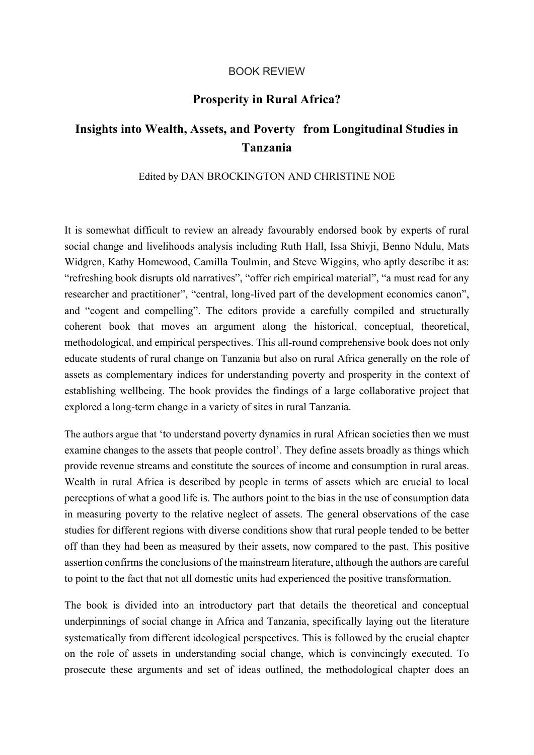## BOOK REVIEW

## **Prosperity in Rural Africa?**

## **Insights into Wealth, Assets, and Poverty from Longitudinal Studies in Tanzania**

## Edited by DAN BROCKINGTON AND CHRISTINE NOE

It is somewhat difficult to review an already favourably endorsed book by experts of rural social change and livelihoods analysis including Ruth Hall, Issa Shivji, Benno Ndulu, Mats Widgren, Kathy Homewood, Camilla Toulmin, and Steve Wiggins, who aptly describe it as: "refreshing book disrupts old narratives", "offer rich empirical material", "a must read for any researcher and practitioner", "central, long-lived part of the development economics canon", and "cogent and compelling". The editors provide a carefully compiled and structurally coherent book that moves an argument along the historical, conceptual, theoretical, methodological, and empirical perspectives. This all-round comprehensive book does not only educate students of rural change on Tanzania but also on rural Africa generally on the role of assets as complementary indices for understanding poverty and prosperity in the context of establishing wellbeing. The book provides the findings of a large collaborative project that explored a long-term change in a variety of sites in rural Tanzania.

The authors argue that 'to understand poverty dynamics in rural African societies then we must examine changes to the assets that people control'. They define assets broadly as things which provide revenue streams and constitute the sources of income and consumption in rural areas. Wealth in rural Africa is described by people in terms of assets which are crucial to local perceptions of what a good life is. The authors point to the bias in the use of consumption data in measuring poverty to the relative neglect of assets. The general observations of the case studies for different regions with diverse conditions show that rural people tended to be better off than they had been as measured by their assets, now compared to the past. This positive assertion confirms the conclusions of the mainstream literature, although the authors are careful to point to the fact that not all domestic units had experienced the positive transformation.

The book is divided into an introductory part that details the theoretical and conceptual underpinnings of social change in Africa and Tanzania, specifically laying out the literature systematically from different ideological perspectives. This is followed by the crucial chapter on the role of assets in understanding social change, which is convincingly executed. To prosecute these arguments and set of ideas outlined, the methodological chapter does an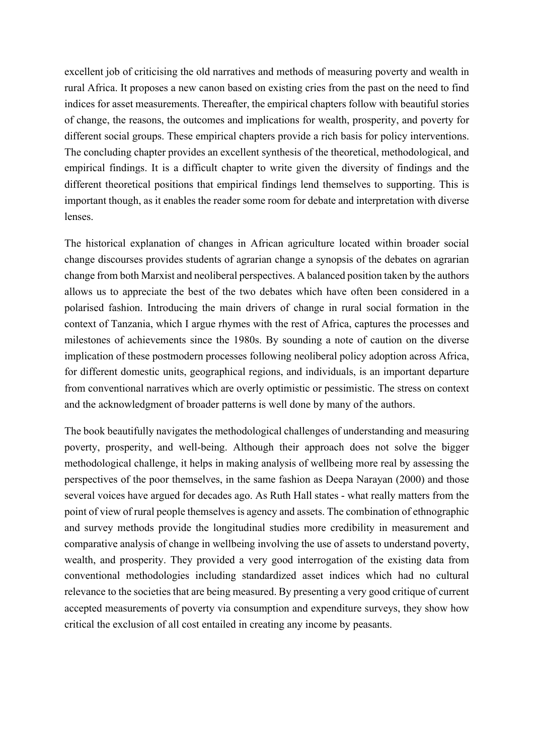excellent job of criticising the old narratives and methods of measuring poverty and wealth in rural Africa. It proposes a new canon based on existing cries from the past on the need to find indices for asset measurements. Thereafter, the empirical chapters follow with beautiful stories of change, the reasons, the outcomes and implications for wealth, prosperity, and poverty for different social groups. These empirical chapters provide a rich basis for policy interventions. The concluding chapter provides an excellent synthesis of the theoretical, methodological, and empirical findings. It is a difficult chapter to write given the diversity of findings and the different theoretical positions that empirical findings lend themselves to supporting. This is important though, as it enables the reader some room for debate and interpretation with diverse lenses.

The historical explanation of changes in African agriculture located within broader social change discourses provides students of agrarian change a synopsis of the debates on agrarian change from both Marxist and neoliberal perspectives. A balanced position taken by the authors allows us to appreciate the best of the two debates which have often been considered in a polarised fashion. Introducing the main drivers of change in rural social formation in the context of Tanzania, which I argue rhymes with the rest of Africa, captures the processes and milestones of achievements since the 1980s. By sounding a note of caution on the diverse implication of these postmodern processes following neoliberal policy adoption across Africa, for different domestic units, geographical regions, and individuals, is an important departure from conventional narratives which are overly optimistic or pessimistic. The stress on context and the acknowledgment of broader patterns is well done by many of the authors.

The book beautifully navigates the methodological challenges of understanding and measuring poverty, prosperity, and well-being. Although their approach does not solve the bigger methodological challenge, it helps in making analysis of wellbeing more real by assessing the perspectives of the poor themselves, in the same fashion as Deepa Narayan (2000) and those several voices have argued for decades ago. As Ruth Hall states - what really matters from the point of view of rural people themselves is agency and assets. The combination of ethnographic and survey methods provide the longitudinal studies more credibility in measurement and comparative analysis of change in wellbeing involving the use of assets to understand poverty, wealth, and prosperity. They provided a very good interrogation of the existing data from conventional methodologies including standardized asset indices which had no cultural relevance to the societies that are being measured. By presenting a very good critique of current accepted measurements of poverty via consumption and expenditure surveys, they show how critical the exclusion of all cost entailed in creating any income by peasants.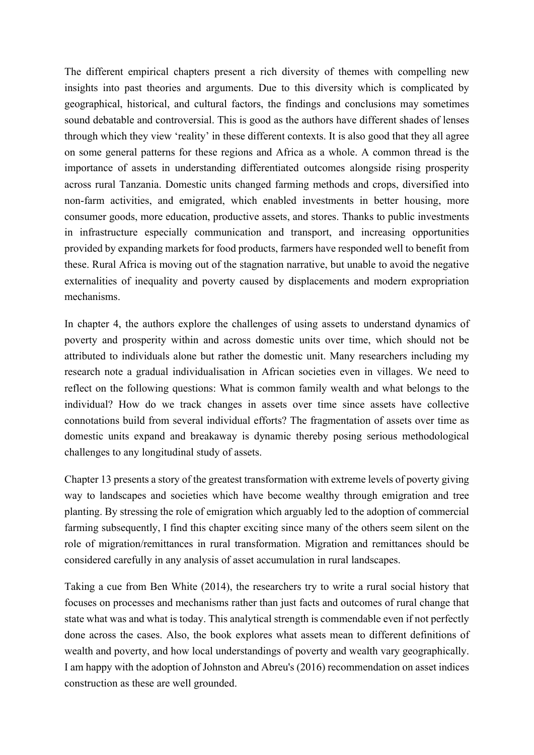The different empirical chapters present a rich diversity of themes with compelling new insights into past theories and arguments. Due to this diversity which is complicated by geographical, historical, and cultural factors, the findings and conclusions may sometimes sound debatable and controversial. This is good as the authors have different shades of lenses through which they view 'reality' in these different contexts. It is also good that they all agree on some general patterns for these regions and Africa as a whole. A common thread is the importance of assets in understanding differentiated outcomes alongside rising prosperity across rural Tanzania. Domestic units changed farming methods and crops, diversified into non-farm activities, and emigrated, which enabled investments in better housing, more consumer goods, more education, productive assets, and stores. Thanks to public investments in infrastructure especially communication and transport, and increasing opportunities provided by expanding markets for food products, farmers have responded well to benefit from these. Rural Africa is moving out of the stagnation narrative, but unable to avoid the negative externalities of inequality and poverty caused by displacements and modern expropriation mechanisms.

In chapter 4, the authors explore the challenges of using assets to understand dynamics of poverty and prosperity within and across domestic units over time, which should not be attributed to individuals alone but rather the domestic unit. Many researchers including my research note a gradual individualisation in African societies even in villages. We need to reflect on the following questions: What is common family wealth and what belongs to the individual? How do we track changes in assets over time since assets have collective connotations build from several individual efforts? The fragmentation of assets over time as domestic units expand and breakaway is dynamic thereby posing serious methodological challenges to any longitudinal study of assets.

Chapter 13 presents a story of the greatest transformation with extreme levels of poverty giving way to landscapes and societies which have become wealthy through emigration and tree planting. By stressing the role of emigration which arguably led to the adoption of commercial farming subsequently, I find this chapter exciting since many of the others seem silent on the role of migration/remittances in rural transformation. Migration and remittances should be considered carefully in any analysis of asset accumulation in rural landscapes.

Taking a cue from Ben White (2014), the researchers try to write a rural social history that focuses on processes and mechanisms rather than just facts and outcomes of rural change that state what was and what is today. This analytical strength is commendable even if not perfectly done across the cases. Also, the book explores what assets mean to different definitions of wealth and poverty, and how local understandings of poverty and wealth vary geographically. I am happy with the adoption of Johnston and Abreu's (2016) recommendation on asset indices construction as these are well grounded.